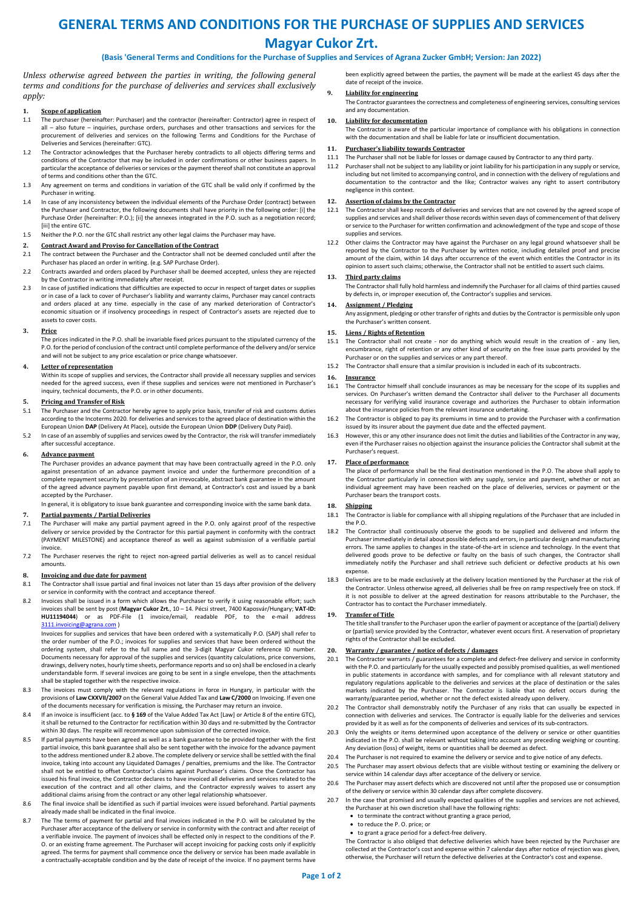# **GENERAL TERMS AND CONDITIONS FOR THE PURCHASE OF SUPPLIES AND SERVICES Magyar Cukor Zrt.**

# **(Basis 'General Terms and Conditions for the Purchase of Supplies and Services of Agrana Zucker GmbH; Version: Jan 2022)**

*Unless otherwise agreed between the parties in writing, the following general terms and conditions for the purchase of deliveries and services shall exclusively apply:*

### **1. Scope of application**

- 1.1 The purchaser (hereinafter: Purchaser) and the contractor (hereinafter: Contractor) agree in respect of all – also future – inquiries, purchase orders, purchases and other transactions and services for the procurement of deliveries and services on the following Terms and Conditions for the Purchase of Deliveries and Services (hereinafter: GTC).
- 1.2 The Contractor acknowledges that the Purchaser hereby contradicts to all objects differing terms and conditions of the Contractor that may be included in order confirmations or other business papers. In particular the acceptance of deliveries or services or the payment thereof shall not constitute an approval of terms and conditions other than the GTC.
- 1.3 Any agreement on terms and conditions in variation of the GTC shall be valid only if confirmed by the Purchaser in writing.
- 1.4 In case of any inconsistency between the individual elements of the Purchase Order (contract) between the Purchaser and Contractor, the following documents shall have priority in the following order: [i] the Purchase Order (hereinafter: P.O.); [ii] the annexes integrated in the P.O. such as a negotiation record; *<u>Iiiil the entire GTC</u>*
- 1.5 Neither the P.O. nor the GTC shall restrict any other legal claims the Purchaser may have.

# **2. Contract Award and Proviso for Cancellation of the Contract**

- 2.1 The contract between the Purchaser and the Contractor shall not be deemed concluded until after the Purchaser has placed an order in writing. (e.g. SAP Purchase Order).
- 2.2 Contracts awarded and orders placed by Purchaser shall be deemed accepted, unless they are rejected by the Contractor in writing immediately after receipt.
- 2.3 In case of justified indications that difficulties are expected to occur in respect of target dates or supplies or in case of a lack to cover of Purchaser's liability and warranty claims, Purchaser may cancel contracts and orders placed at any time. especially in the case of any marked deterioration of Contractor's economic situation or if insolvency proceedings in respect of Contractor's assets are rejected due to assets to cover costs.

#### **3. Price**

The prices indicated in the P.O. shall be invariable fixed prices pursuant to the stipulated currency of the P.O. for the period of conclusion of the contract until complete performance of the delivery and/or service and will not be subject to any price escalation or price change whatsoever.

# **4. Letter of representation**

Within its scope of supplies and services, the Contractor shall provide all necessary supplies and services needed for the agreed success, even if these supplies and services were not mentioned in Purchaser's inquiry, technical documents, the P.O. or in other documents.

### **5. Pricing and Transfer of Risk**

- 5.1 The Purchaser and the Contractor hereby agree to apply price basis, transfer of risk and customs duties according to the Incoterms 2020. for deliveries and services to the agreed place of destination within the European Union **DAP** (Delivery At Place), outside the European Union **DDP** (Delivery Duty Paid).
- 5.2 In case of an assembly of supplies and services owed by the Contractor, the risk will transfer immediately after successful acceptance.

#### **6. Advance payment**

The Purchaser provides an advance payment that may have been contractually agreed in the P.O. only against presentation of an advance payment invoice and under the furthermore precondition of a complete repayment security by presentation of an irrevocable, abstract bank guarantee in the amount of the agreed advance payment payable upon first demand, at Contractor's cost and issued by a bank accepted by the Purchaser.

In general, it is obligatory to issue bank guarantee and corresponding invoice with the same bank data.

# **7. Partial payments / Partial Deliveries**

- The Purchaser will make any partial payment agreed in the P.O. only against proof of the respective delivery or service provided by the Contractor for this partial payment in conformity with the contract (PAYMENT MILESTONE) and acceptance thereof as well as against submission of a verifiable partial invoice.
- 7.2 The Purchaser reserves the right to reject non-agreed partial deliveries as well as to cancel residual amounts.

- **8. Invoicing and due date for payment** 8.1 The Contractor shall issue partial and fin The Contractor shall issue partial and final invoices not later than 15 days after provision of the delivery or service in conformity with the contract and acceptance thereof.
- 8.2 Invoices shall be issued in a form which allows the Purchaser to verify it using reasonable effort; such invoices shall be sent by post (**Magyar Cukor Zrt.**, 10 – 14. Pécsi street, 7400 Kaposvár/Hungary; **VAT-ID: HU11194044**) or as PDF-File (1 invoice/email, readable PDF, to the [3111.invoicing@agrana.com](mailto:3111.invoicing@agrana.com) )

Invoices for supplies and services that have been ordered with a systematically P.O. (SAP) shall refer to the order number of the P.O.; invoices for supplies and services that have been ordered without the ordering system, shall refer to the full name and the 3-digit Magyar Cukor reference ID number. Documents necessary for approval of the supplies and services (quantity calculations, price conversions, drawings, delivery notes, hourly time sheets, performance reports and so on) shall be enclosed in a clearly understandable form. If several invoices are going to be sent in a single envelope, then the attachments shall be stapled together with the respective invoice.

- 8.3 The invoices must comply with the relevant regulations in force in Hungary, in particular with the provisions of **Law CXXVII/2007** on the General Value Added Tax and **Law C/2000** on Invoicing. If even one<br>of the documents necessary for verification is missing, the Purchaser may return an invoice.
- 8.4 If an invoice is insufficient (acc. to **§ 169** of the Value Added Tax Act [Law] or Article 8 of the entire GTC), it shall be returned to the Contractor for rectification within 30 days and re-submitted by the Contractor within 30 days. The respite will recommence upon submission of the corrected invoice.
- 8.5 If partial payments have been agreed as well as a bank guarantee to be provided together with the first partial invoice, this bank guarantee shall also be sent together with the invoice for the advance payment to the address mentioned under 8.2 above. The complete delivery or service shall be settled with the final invoice, taking into account any Liquidated Damages / penalties, premiums and the like. The Contractor shall not be entitled to offset Contractor's claims against Purchaser's claims. Once the Contractor has issued his final invoice, the Contractor declares to have invoiced all deliveries and services related to the execution of the contract and all other claims, and the Contractor expressly waives to assert any additional claims arising from the contract or any other legal relationship whatsoever.
- 8.6 The final invoice shall be identified as such if partial invoices were issued beforehand. Partial payments already made shall be indicated in the final invoice.
- 8.7 The The terms of payment for partial and final invoices indicated in the P.O. will be calculated by the Purchaser after acceptance of the delivery or service in conformity with the contract and after receipt of a verifiable invoice. The payment of invoices shall be effected only in respect to the conditions of the P. O. or an existing frame agreement. The Purchaser will accept invoicing for packing costs only if explicitly agreed. The terms for payment shall commence once the delivery or service has been made available in a contractually-acceptable condition and by the date of receipt of the invoice. If no payment terms have

been explicitly agreed between the parties, the payment will be made at the earliest 45 days after the date of receipt of the invoice.

# **9. Liability for engineering**

The Contractor guarantees the correctness and completeness of engineering services, consulting services and any documentation.

#### **10. Liability for documentation**

The Contractor is aware of the particular importance of compliance with his obligations in connection with the documentation and shall be liable for late or insufficient documentation.

# **11. Purchaser's liability towards Contractor**<br>**11.1** The Purchaser shall not be liable for losses or

11.1 The Purchaser shall not be liable for losses or damage caused by Contractor to any third party. 11.2 Purchaser shall not be subject to any liability or joint liability for his participation in any supply or service, including but not limited to accompanying control, and in connection with the delivery of regulations and documentation to the contractor and the like; Contractor waives any right to assert contributory negligence in this context.

#### **12. Assertion of claims by the Contractor**

- 12.1 The Contractor shall keep records of deliveries and services that are not covered by the agreed scope of supplies and services and shall deliver those records within seven days of commencement of that delivery or service to the Purchaser for written confirmation and acknowledgment of the type and scope of those supplies and services.
- 12.2 Other claims the Contractor may have against the Purchaser on any legal ground whatsoever shall be reported by the Contractor to the Purchaser by written notice, including detailed proof and precise amount of the claim, within 14 days after occurrence of the event which entitles the Contractor in its opinion to assert such claims; otherwise, the Contractor shall not be entitled to assert such claims.

### **13. Third party claims**

The Contractor shall fully hold harmless and indemnify the Purchaser for all claims of third parties caused by defects in, or improper execution of, the Contractor's supplies and services.

# **14. Assignment / Pledging**

Any assignment, pledging or other transfer of rights and duties by the Contractor is permissible only upon the Purchaser's written consent.

#### **15. Liens / Rights of Retention**

- 15.1 The Contractor shall not create nor do anything which would result in the creation of any lien, encumbrance, right of retention or any other kind of security on the free issue parts provided by the Purchaser or on the supplies and services or any part thereof.
- 15.2 The Contractor shall ensure that a similar provision is included in each of its subcontracts.

#### **16. Insurance**

- 16.1 The Contractor himself shall conclude insurances as may be necessary for the scope of its supplies and services. On Purchaser's written demand the Contractor shall deliver to the Purchaser all documents necessary for verifying valid insurance coverage and authorizes the Purchaser to obtain information about the insurance policies from the relevant insurance undertaking.
- 16.2 The Contractor is obliged to pay its premiums in time and to provide the Purchaser with a confirmation issued by its insurer about the payment due date and the effected payment.
- 16.3 However, this or any other insurance does not limit the duties and liabilities of the Contractor in any way, even if the Purchaser raises no objection against the insurance policies the Contractor shall submit at the Purchaser's request.

#### **17. Place of performance**

The place of performance shall be the final destination mentioned in the  $P_1O$ . The above shall apply to the Contractor particularly in connection with any supply, service and payment, whether or not an individual agreement may have been reached on the place of deliveries, services or payment or the Purchaser bears the transport costs.

# **18. Shipping**

- 18.1 The Contractor is liable for compliance with all shipping regulations of the Purchaser that are included in the P.O.
- 18.2 The Contractor shall continuously observe the goods to be supplied and delivered and inform the Purchaser immediately in detail about possible defects and errors, in particular design and manufacturing errors. The same applies to changes in the state-of-the-art in science and technology. In the event that delivered goods prove to be defective or faulty on the basis of such changes, the Contractor shall immediately notify the Purchaser and shall retrieve such deficient or defective products at his own expense.
- 18.3 Deliveries are to be made exclusively at the delivery location mentioned by the Purchaser at the risk of the Contractor. Unless otherwise agreed, all deliveries shall be free on ramp respectively free on stock. If it is not possible to deliver at the agreed destination for reasons attributable to the Purchaser, the Contractor has to contact the Purchaser immediately.

# **19. Transfer of Title**

The title shall transfer to the Purchaser upon the earlier of payment or acceptance of the (partial) delivery or (partial) service provided by the Contractor, whatever event occurs first. A reservation of proprietary rights of the Contractor shall be excluded.

#### **20. Warranty / guarantee / notice of defects / damages**

- 20.1 The Contractor warrants / guarantees for a complete and defect-free delivery and service in conformity with the P.O. and particularly for the usually expected and possibly promised qualities, as well mentioned in public statements in accordance with samples, and for compliance with all relevant statutory and regulatory regulations applicable to the deliveries and services at the place of destination or the sales markets indicated by the Purchaser. The Contractor is liable that no defect occurs during the warranty/guarantee period, whether or not the defect existed already upon delivery.
- 20.2 The Contractor shall demonstrably notify the Purchaser of any risks that can usually be expected in connection with deliveries and services. The Contractor is equally liable for the deliveries and services provided by it as well as for the components of deliveries and services of its sub‐contractors.
- 20.3 Only the weights or items determined upon acceptance of the delivery or service or other quantities indicated in the P.O. shall be relevant without taking into account any preceding weighing or counting. Any deviation (loss) of weight, items or quantities shall be deemed as defect.
- 20.4 The Purchaser is not required to examine the delivery or service and to give notice of any defects.
- 20.5 The Purchaser may assert obvious defects that are visible without testing or examining the delivery or
- service within 14 calendar days after acceptance of the delivery or service. 20.6 The Purchaser may assert defects which are discovered not until after the proposed use or consumption of the delivery or service within 30 calendar days after complete discovery.
- 20.7 In the case that promised and usually expected qualities of the supplies and services are not achieved, the Purchaser at his own discretion shall have the following rights:
	- to terminate the contract without granting a grace period,
	- to reduce the P. O. price; or
	- to grant a grace period for a defect‐free delivery.

The Contractor is also obliged that defective deliveries which have been rejected by the Purchaser are collected at the Contractor's cost and expense within 7 calendar days after notice of rejection was given, otherwise, the Purchaser will return the defective deliveries at the Contractor's cost and expense.